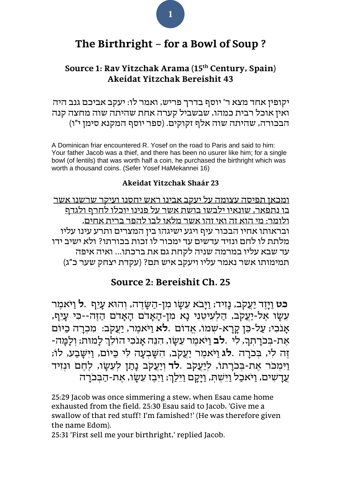# **The Birthright – for a Bowl of Soup ?**

## **Source 1: Rav Yitzchak Arama (15th Century, Spain) Akeidat Yitzchak Bereishit 43**

יקופין אחד מצא ר' יוסף בדרך פריש, ואמר לו: יעקב אביכם גנב היה ואין אוכל רבית כמהו, שבשביל קערה אחת שהיתה שוה מחצה קנה הבכורה, שהיתה שוה אלף זקוקים. (ספר יוסף המקנא סימן י"ו)

A Dominican friar encountered R. Yosef on the road to Paris and said to him: Your father Jacob was a thief, and there has been no usurer like him; for a single bowl (of lentils) that was worth half a coin, he purchased the birthright which was worth a thousand coins. (Sefer Yosef HaMekannei 16)

#### **Akeidat Yitzchak Shaár 23**

ומכאן תפיסה עצומה על יעקב אבינו ראש יחסנו ועיקר שרשנו אשר בו נתפאר, שונאיו ילבשו בושת אשר על פנינו יוכלו לחרף ולגדף ולומר: מי הוא זה ואי זהו אשר מלאו לבו להפר ברית אחים, ובראותו אחיו הבכור עיף ויגע ישיגהו בין המצרים ותרע עינו עליו מלתת לו לחם ונזיד עדשים עד ימכור לו זכות בכורתו? ולא ישיב ידו עד שבא עליו במרמה שניה לקחת גם את ברכתו... ואיה איפה תמימותו אשר נאמר עליו ויעקב איש תם? )עקדת יצחק שער כ"ג(

### **Source 2: Bereishit Ch. 25**

**כט** ַו ָּיֶזד ַיֲע ֹקב, ָּנִזיד; ַו ָּיבֹא ֵע ָּ שו ִמן- הַ ש ָּ דֶ ה, וְ הו א עָּ יֵף .**ל** ַו יֹא ֶמר עֵשֶו אֶל-יַעֲקֹב, הַלְעִיטֶנִי נַא מִן-הַאַדֹם הַאֲדֹם הַזֶה--כִּי עַיִּף, אָנֹכִי; עַל-כֵּן קָרָא-שְׁמוֹ, אֱדוֹם .**לֹא** וַיֹּאמֶר, יַעֲקֹב: מִכְרָה כַיּוֹם אֶ ת- ְ ב ֹכָּר ְת ָּך, ִלי .**לב** ַו יֹא ֶמר ֵע ָּ שו, ִה ֵנה ָּא ֹנ ִכי ה ֹו ֵל ְך ָּלמ ות; ְו ָּל ָּמה- ָּזָה לִי, בִּכֹרָה .**לג** וַיֹּאמֶר יַעֲקֹב, הִשָּׁבְעָה לִי כַּיּוֹם, וַיִּשָּׁבַע, לוֹ; וַיִּמְכֹּר אֵת-בִּכֹרָתוֹ, לִיַעֲקֹב .**לד** וְיַעֲקֹב נָתַן לְעֵשֶׂו, לֶחֱם וּנְזִיד ַעֲדַשִׁים, וַיֹּאכַל וַיִּשְׁתָ, וַיִּקַם וַיֵּלַךְ; וַיְּבִז עֲשֶׂו, אַת-הַבִּכֹּרַה

25:29 Jacob was once [simmering](http://bible.ort.org/books/pentd2.asp?ACTION=displaypage&BOOK=1&CHAPTER=25#C504) a stew, when Esau came [home](http://bible.ort.org/books/pentd2.asp?ACTION=displaypage&BOOK=1&CHAPTER=25#C505) [exhausted](http://bible.ort.org/books/pentd2.asp?ACTION=displaypage&BOOK=1&CHAPTER=25#C505) from the field. 25:30 Esau said to Jacob, 'Give me a swallow of that red stuff! I'm famished!' (He was therefore given the name [Edom\)](http://bible.ort.org/books/pentd2.asp?ACTION=displaypage&BOOK=1&CHAPTER=25#C506).

25:31 'First sell me your [birthright,](http://bible.ort.org/books/pentd2.asp?ACTION=displaypage&BOOK=1&CHAPTER=25#C507)' replied Jacob.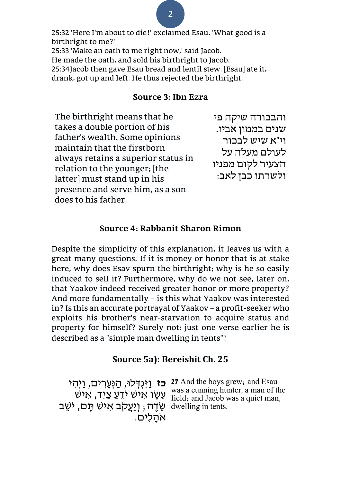## **2**

25:32 'Here I'm about to die!' exclaimed Esau. 'What good is a birthright to me?' 25:33 'Make an oath to me right now,' said Jacob. He made the oath, and sold his birthright to Jacob. 25:34Jacob then gave Esau bread and lentil stew. [Esau] ate it, drank, got up and left. He thus rejected the birthright.

### **Source 3: Ibn Ezra**

The birthright means that he takes a double portion of his father's wealth. Some opinions maintain that the firstborn always retains a superior status in relation to the younger; [the latter] must stand up in his presence and serve him, as a son does to his father. והבכורה שיקח פי שנים בממון אביו. וי"א שיש לבכור לעולם מעלה על הצעיר לקום מפניו ולשרתו כבן לאב:

### **Source 4: Rabbanit Sharon Rimon**

Despite the simplicity of this explanation, it leaves us with a great many questions. If it is money or honor that is at stake here, why does Esav spurn the birthright; why is he so easily induced to sell it? Furthermore, why do we not see, later on, that Yaakov indeed received greater honor or more property? And more fundamentally – is this what Yaakov was interested in? Is this an accurate portrayal of Yaakov – a profit-seeker who exploits his brother's near-starvation to acquire status and property for himself? Surely not: just one verse earlier he is described as a "simple man dwelling in tents"!

### **Source 5a): Bereishit Ch. 25**

שֶׂדֶה; וְיַעֲקֹב אִישׁ תָּם, יֹשֵׁב dwelling in tents. אהלים.

**כז נַיְגְדְּלוּ, הַנְּעֲרִים, וַיְהִי**<br>
27 And the boys grew; and Esau עֲשָׂו אִי יֹש was a cunning hunter, a man of the was a cunning was a cunning was a quiet man. field; and Jacob was a quiet man,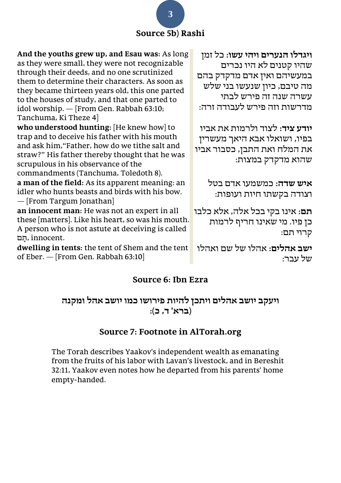## **Source 5b) Rashi**

**ויגדלו הנערים ויהי עשו:** כל זמן שהיו קטנים לא היו נכרים במעשיהם ואין אדם מדקדק בהם מה טיבם, כיון שנעשו בני שלש עשרה שנה זה פירש לבתי מדרשות וזה פירש לעבודה זרה:

**יודע ציד:** לצוד ולרמות את אביו בפיו, ושואלו אבא היאך מעשרין את המלח ואת התבן, כסבור אביו שהוא מדקדק במצות:

> **איש שדה:** כמשמעו אדם בטל וצודה בקשתו חיות ועופות:

**תם:** אינו בקי בכל אלה, אלא כלבו כן פיו. מי שאינו חריף לרמות קרוי תם:

**ישב אהלים:** אהלו של שם ואהלו של עבר:

### **And the youths grew up, and Esau was:** As long as they were small, they were not recognizable through their deeds, and no one scrutinized them to determine their characters. As soon as they became thirteen years old, this one parted to the houses of study, and that one parted to idol worship. — [From Gen. Rabbah 63:10; Tanchuma, Ki Theze 4]

**who understood hunting:** [He knew how] to trap and to deceive his father with his mouth and ask him,"Father, how do we tithe salt and straw?" His father thereby thought that he was scrupulous in his observance of the commandments (Tanchuma, Toledoth 8).

**a man of the field:** As its apparent meaning: an idler who hunts beasts and birds with his bow. — [From Targum Jonathan]

**an innocent man:** He was not an expert in all these [matters]. Like his heart, so was his mouth. A person who is not astute at deceiving is called תֵם, innocent.

**dwelling in tents:** the tent of Shem and the tent of Eber. — [From Gen. Rabbah 63:10]

## **Source 6: Ibn Ezra**

## **ויעקב יושב אהלים ויתכן להיות פירושו כמו יושב אהל ומקנה )ברא' ד, כ(:**

## **Source 7: Footnote in AlTorah.org**

The Torah describes Yaakov's independent wealth as emanating from the fruits of his labor with Lavan's livestock, and in Bereshit 32:11, Yaakov even notes how he departed from his parents' home empty-handed.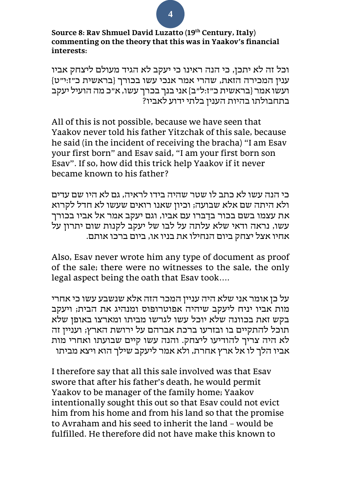**Source 8: Rav Shmuel David Luzatto (19th Century, Italy) commenting on the theory that this was in Yaakov's financial interests:**

וכל זה לא יתכן, כי הנה ראינו כי יעקב לא הגיד מעולם ליצחק אביו ענין המכירה הזאת, שהרי אמר אנכי עשו בכורך }בראשית כ״ז:י״ט{ ועשו אמר }בראשית כ״ז:ל״ב{ אני בנך בכרך עשו, א״כ מה הועיל יעקב בתחבולתו בהיות הענין בלתי ידוע לאביו?

All of this is not possible, because we have seen that Yaakov never told his father Yitzchak of this sale, because he said (in the incident of receiving the bracha) "I am Esav your first born" and Esav said, "I am your first born son Esav". If so, how did this trick help Yaakov if it never became known to his father?

כי הנה עשו לא כתב לו שטר שהיה בידו לראיה, גם לא היו שם עדים ולא היתה שם אלא שבועה; וכיון שאנו רואים שעשו לא חדל לקרוא את עצמו בשם בכור בדַבּרו עם אביו, וגם יעקב אמר אל אביו בכורך עשו, נראה ודאי שלא עלתה על לבו של יעקב לקנות שום יתרון על אחיו אצל יצחק ביום הנחילו את בניו או, ביום ברכו אותם.

Also, Esav never wrote him any type of document as proof of the sale; there were no witnesses to the sale, the only legal aspect being the oath that Esav took….

על כן אומר אני שלא היה עניין המכר הזה אלא שנשבע עשו כי אחרי מות אביו יניח ליעקב שיהיה אפוטרופוס ומנהיג את הבית; ויעקב בקש זאת בכוונה שלא יוכל עשו לגרשו מביתו ומארצו באופן שלא תוכל להתקיים בו ובזרעו ברכת אברהם על ירושת הארץ; ועניין זה לא היה צריך להודיעו ליצחק. והנה עשו קיים שבועתו ואחרי מות אביו הלך לו אל ארץ אחרת, ולא אמר ליעקב שילך הוא ויצא מביתו

I therefore say that all this sale involved was that Esav swore that after his father's death, he would permit Yaakov to be manager of the family home; Yaakov intentionally sought this out so that Esav could not evict him from his home and from his land so that the promise to Avraham and his seed to inherit the land – would be fulfilled. He therefore did not have make this known to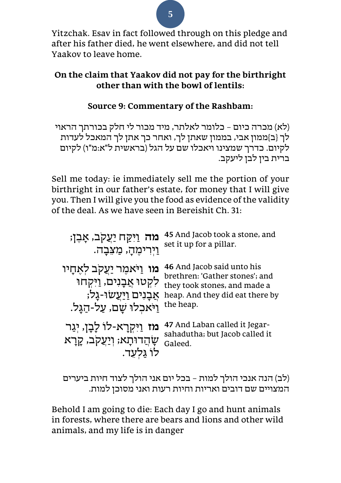Yitzchak. Esav in fact followed through on this pledge and after his father died, he went elsewhere, and did not tell Yaakov to leave home.

## **On the claim that Yaakov did not pay for the birthright other than with the bowl of lentils:**

## **Source 9: Commentary of the Rashbam:**

(לא) מכרה כיום – כלומר לאלתר, מיד מכור לי חלק בכורתך הראוי לך }ב{ממון אבי, בממון שאתן לך, ואחר כך אתן לך המאכל לעדות לקיום. כדרך שמצינו ויאכלו שם על הגל (בראשית ל"א:מ"ו) לקיום ברית בין לבן ליעקב.

Sell me today: ie immediately sell me the portion of your birthright in our father's estate, for money that I will give you. Then I will give you the food as evidence of the validity of the deal. As we have seen in Bereishit Ch. 31:

| מה וַיִּקַח יַעֲקִב, אֲבֶן;                                                                                                               | 45 And Jacob took a stone, and                                                                                                               |
|-------------------------------------------------------------------------------------------------------------------------------------------|----------------------------------------------------------------------------------------------------------------------------------------------|
| וַיִּרִימֵהָ, מַצֵבָה.                                                                                                                    | set it up for a pillar.                                                                                                                      |
| <b>מו</b> וַיֹּאמֵר יַעֲקב לִאֵחַיו<br>לִקְטוּ אֲבָנִים, וַיִּקְחוּ<br>אַבָנִים <u>וַיַּעֲ</u> שׂוּ-גַל;<br>וַיֹּאכִלוּ שַׁם, עַל-הַגַּל. | 46 And Jacob said unto his<br>brethren: 'Gather stones'; and<br>they took stones, and made a<br>heap. And they did eat there by<br>the heap. |
| מז וַיִּקְרָא-לוֹ לָבָן, יִגַר                                                                                                            | 47 And Laban called it Jegar-                                                                                                                |
| ּשָׂהֲדוּתָא; וְיַעֲקֹב, קָרָא                                                                                                            | sahadutha; but Jacob called it                                                                                                               |
| לו גלעד.                                                                                                                                  | Galeed.                                                                                                                                      |

(לב) הנה אנכי הולך למות – בכל יום אני הולך לצוד חיות ביערים המצויים שם דובים ואריות וחיות רעות ואני מסוכן למות.

Behold I am going to die: Each day I go and hunt animals in forests, where there are bears and lions and other wild animals, and my life is in danger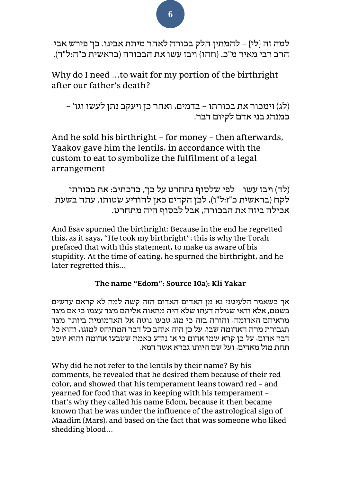למה זה }לי{ – להמתין חלק בכורה לאחר מיתת אבינו. כך פירש אבי הרב רבי מאיר מ"כ. }וזהו{ ויבז עשו את הבכורה )בראשית כ"ה:ל"ד(.

Why do I need …to wait for my portion of the birthright after our father's death?

)לג( וימכור את בכורתו – בדמים, ואחר כן ויעקב נתן לעשו וגו' – כמנהג בני אדם לקיום דבר.

And he sold his birthright – for money – then afterwards, Yaakov gave him the lentils, in accordance with the custom to eat to symbolize the fulfilment of a legal arrangement

(לד) ויבז עשו – לפי שלסוף נתחרט על כך, כדכתיב: את בכורתי לקח )בראשית כ"ז:ל"ו(, לכן הקדים כאן להודיע שטותו. עתה בשעת אכילה ביזה את הבכורה, אבל לבסוף היה מתחרט.

And Esav spurned the birthright: Because in the end he regretted this, as it says, "He took my birthright"; this is why the Torah prefaced that with this statement, to make us aware of his stupidity. At the time of eating, he spurned the birthright, and he later regretted this…

### **The name "Edom": Source 10a): Kli Yakar**

אך כשאמר הלעיטני נא מן האדום האדום הזה קשה למה לא קראם עדשים בשמם, אלא ודאי שגילה דעתו שלא היה מתאוה אליהם מצד עצמו כי אם מצד מראיהם האדומה, והורה בזה כי מזג טבעו נוטה אל האדמומית ביותר מצד תגבורת מרה האדומה שבו, על כן היה אוהב כל דבר המתיחס למזגו, והוא כל דבר אדום, על כן קרא שמו אדום כי אז נודע באמת שטבעו אדומה והוא יושב תחת מזל מאדים, ועל שם היותו גברא אשד דמא.

Why did he not refer to the lentils by their name? By his comments, he revealed that he desired them because of their red color, and showed that his temperament leans toward red – and yearned for food that was in keeping with his temperament – that's why they called his name Edom, because it then became known that he was under the influence of the astrological sign of Maadim (Mars), and based on the fact that was someone who liked shedding blood…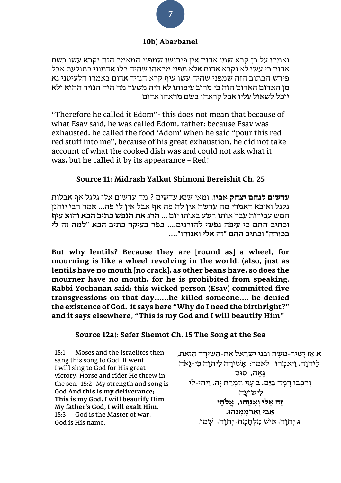#### **10b) Abarbanel**

ואמרו על כן קרא שמו אדום אין פירושו שמפני המאמר הזה נקרא עשו בשם אדום כי עשו לא נקרא אדום אלא מפני מראהו שהיה כלו אדמוני כתולעת אבל פירש הכתוב הזה שמפני שהיה עשו עיף קרא הנזיד אדום באמרו הלעיטני נא מן האדום האדום הזה כי מרוב עיפותו לא היה משער מה היה הנזיד ההוא ולא יוכל לשאול עליו אבל קראהו בשם מראהו אדום

"Therefore he called it Edom"- this does not mean that because of what Esav said, he was called Edom, rather: because Esav was exhausted, he called the food 'Adom' when he said "pour this red red stuff into me", because of his great exhaustion, he did not take account of what the cooked dish was and could not ask what it was, but he called it by its appearance – Red!

#### **Source 11: Midrash Yalkut Shimoni Bereishit Ch. 25**

**עדשים לנחם יצחק אביו.** ומאי שנא עדשים ? מה עדשים אלו גלגל אף אבלות גלגל ואיכא דאמרי מה עדשה אין לה פה אף אבל אין לו פה... אמר רבי יוחנן חמש עבירות עבר אותו רשע באותו יום ... **הרג את הנפש כתיב הכא והוא עיף וכתיב התם כי עיפה נפשי להורגים. ... כפר בעיקר כתיב הכא "למה זה לי בכורה" וכתיב התם "זה אלי ואנוהו". ...** 

**But why lentils? Because they are [round as] a wheel, for mourning is like a wheel revolving in the world. (also, just as lentils have no mouth [no crack], as other beans have, so does the mourner have no mouth, for he is prohibited from speaking. Rabbi Yochanan said: this wicked person (Esav) committed five transgressions on that day……he killed someone…. he denied the existence of God. it says here "Why do I need the birthright?" and it says elsewhere, "This is my God and I will beautify Him"** 

#### **Source 12a): Sefer Shemot Ch. 15 The Song at the Sea**

15:1 Moses and the Israelites then sang this song to God. It went: I will sing to God for His great victory, Horse and rider He threw in the sea. 15:2 My strength and song is God **And this is my deliverance; This is my God, I will beautify Him My father's God, I will exalt Him.** 15:3 God is the Master of war, God is His name.

**א** אַז יַשִׁיר-מֹשֶׁה וּבְנֵי יִשְׂרָאֵל אֶת-הַשִּׁירַה הַזֹאת, ַלִּיהוַה, וַיֹּאמִרוּ, לֵאמֹר: אֲשִׁירַה לַיהוַה כִּי-גָאֹה  $k$ גאה, סוּס וְרֹכְבוֹ רַמַה בַיַּם. **ב** עַזִי וִזְמְרַת יַהּ, וַיְהִי-לִי לישועה; **ֶזה ֵא ִלי ְו ַא ְנֵוהו,ּ אֱ לֹהֵ י ָא ִבי ַוֲארֹ ְמ ֶמ ְנהו.ּ ג** יְהוָּה, אִ יש מִ לְ חָּ מָּ ה; יְהוָּה, ש ְ מו.ֹ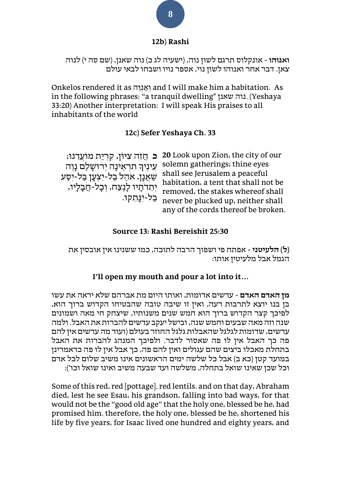#### **12b) Rashi**

**ואנוהו** - אונקלוס תרגם לשון נוה, (ישעיה לג כ) נוה שאנן, (שם סה י) לנוה צאן. דבר אחר ואנוהו לשון נוי, אספר נויו ושבחו לבאי עולם

Onkelos rendered it as ואֲנוה and I will make him a habitation. As in the following phrases: "a tranquil dwelling" שאנן נוה.) Yeshaya 33:20) Another interpretation: I will speak His praises to all inhabitants of the world

### **12c) Sefer Yeshaya Ch. 33**

**ּכ** חֲזֶה צִיּוֹן, קִרְיַת מוֹעֲדֶנוּ; ְיָ<br>עֵינִיךָ תִרְאֵינָה יִרוּשָׁלַם נָוֵה שַׁאֲנָן, אֹהֶל בַל-יִצְעָן בַל-יִסַע יְתֵדֹתָיו לָנֶצַח, וְבָל-חֲבָלָיו, ַ בַּל-יִנַּחֲקוּ.

**20** Look upon Zion, the city of our solemn gatherings; thine eyes shall see Jerusalem a peaceful habitation, a tent that shall not be removed, the stakes whereof shall never be plucked up, neither shall any of the cords thereof be broken.

#### **Source 13: Rashi Bereishit 25:30**

**)ל( הלעיטני** - אפתח פי ושפוך הרבה לתוכה, כמו ששנינו אין אובסין את הגמל אבל מלעיטין אותו:

### **I'll open my mouth and pour a lot into it…**

**מן האדם האדם** - עדשים אדומות, ואותו היום מת אברהם שלא יראה את עשו בן בנו יוצא לתרבות רעה, ואין זו שיבה טובה שהבטיחו הקדוש ברוך הוא, לפיכך קצר הקדוש ברוך הוא חמש שנים משנותיו, שיצחק חי מאה ושמונים שנה וזה מאה שבעים וחמש שנה, ובישל יעקב עדשים להברות את האבל. ולמה עדשים, שדומות לגלגל שהאבלות גלגל החוזר בעולם )ועוד מה עדשים אין להם פה כך האבל אין לו פה שאסור לדבר. ולפיכך המנהג להברות את האבל בתחלת מאכלו ביצים שהם עגולים ואין להם פה, כך אבל אין לו פה כדאמרינן במועד קטן (כא ב) אבל כל שלשה ימים הראשונים אינו משיב שלום לכל אדם וכל שכן שאינו שואל בתחלה, משלשה ועד שבעה משיב ואינו שואל וכו'(:

Some of this red, red [pottage]. red lentils. and on that day, Abraham died, lest he see Esau, his grandson, falling into bad ways, for that would not be the "good old age" that the holy one, blessed be he, had promised him. therefore, the holy one, blessed be he, shortened his life by five years, for Isaac lived one hundred and eighty years, and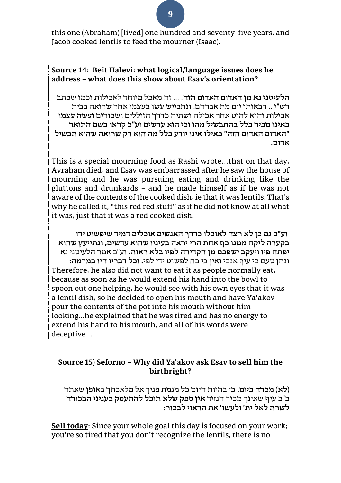this one (Abraham) [lived] one hundred and seventy-five years, and Jacob cooked lentils to feed the mourner (Isaac).

### **Source 14: Beit Halevi: what logical/language issues does he address – what does this show about Esav's orientation?**

**הלעיטני נא מן האדום האדום הזה.** ... זה מאכל מיוחד לאבילות וכמו שכתב רש"י .. דבאותו יום מת אברהם, ונתבייש עשו בעצמו אחר שרואה בבית אבילות והוא להוט אחר אכילה ושתיה כדרך הזוללים ושכורים **ועשה עצמו כאינו מכיר כלל בהתבשיל מהו וכי הוא עדשים וע"כ קראו בשם התואר "האדום האדום הזה" כאילו אינו יודע כלל מה הוא רק שרואה שהוא תבשיל אדום.** 

This is a special mourning food as Rashi wrote…that on that day, Avraham died, and Esav was embarrassed after he saw the house of mourning and he was pursuing eating and drinking like the gluttons and drunkards – and he made himself as if he was not aware of the contents of the cooked dish, ie that it was lentils. That's why he called it, "this red red stuff" as if he did not know at all what it was, just that it was a red cooked dish.

**וע"כ גם כן לא רצה לאוכלו כדרך האנשים אוכלים דמיד שיפשוט ידו בקערה ליקח ממנו כף אחת הרי יראה בעיניו שהוא עדשים, ונתיי עץ שהוא יפתח פיו ויעקב ישפכם מן הקדירה לפיו בלא ראות.** וע"כ אמר הלעיטני נא ונתן טעם כי עיף אנכי ואין בי כח לפשוט ידי לפי, **וכל דבריו היו במרמה:**  Therefore, he also did not want to eat it as people normally eat, because as soon as he would extend his hand into the bowl to spoon out one helping, he would see with his own eyes that it was a lentil dish, so he decided to open his mouth and have Ya'akov pour the contents of the pot into his mouth without him looking...he explained that he was tired and has no energy to extend his hand to his mouth, and all of his words were deceptive…

### **Source 15) Seforno – Why did Ya'akov ask Esav to sell him the birthright?**

**) לא( מכרה כיום.** כי בהיות היום כל מגמת פניך אל מלאכתך באופן שאתה כ"כ עיף שאינך מכיר הנזיד **אין ספק שלא תוכל להתעסק בעניני הבכורה לשרת לאל ית' ולעשו' את הראוי לבכור:** 

**Sell today**: Since your whole goal this day is focused on your work; you're so tired that you don't recognize the lentils, there is no